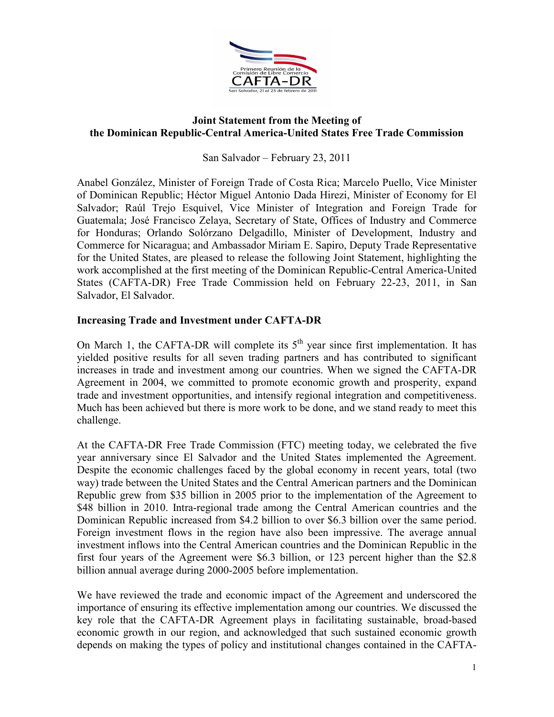

# Joint Statement from the Meeting of the Dominican Republic-Central America-United States Free Trade Commission

San Salvador – February 23, 2011

Anabel González, Minister of Foreign Trade of Costa Rica; Marcelo Puello, Vice Minister of Dominican Republic; Héctor Miguel Antonio Dada Hirezi, Minister of Economy for El Salvador; Raúl Trejo Esquivel, Vice Minister of Integration and Foreign Trade for Guatemala; José Francisco Zelaya, Secretary of State, Offices of Industry and Commerce for Honduras; Orlando Solórzano Delgadillo, Minister of Development, Industry and Commerce for Nicaragua; and Ambassador Miriam E. Sapiro, Deputy Trade Representative for the United States, are pleased to release the following Joint Statement, highlighting the work accomplished at the first meeting of the Dominican Republic-Central America-United States (CAFTA-DR) Free Trade Commission held on February 22-23, 2011, in San Salvador, El Salvador.

# Increasing Trade and Investment under CAFTA-DR

On March 1, the CAFTA-DR will complete its  $5<sup>th</sup>$  year since first implementation. It has yielded positive results for all seven trading partners and has contributed to significant increases in trade and investment among our countries. When we signed the CAFTA-DR Agreement in 2004, we committed to promote economic growth and prosperity, expand trade and investment opportunities, and intensify regional integration and competitiveness. Much has been achieved but there is more work to be done, and we stand ready to meet this challenge.

At the CAFTA-DR Free Trade Commission (FTC) meeting today, we celebrated the five year anniversary since El Salvador and the United States implemented the Agreement. Despite the economic challenges faced by the global economy in recent years, total (two way) trade between the United States and the Central American partners and the Dominican Republic grew from \$35 billion in 2005 prior to the implementation of the Agreement to \$48 billion in 2010. Intra-regional trade among the Central American countries and the Dominican Republic increased from \$4.2 billion to over \$6.3 billion over the same period. Foreign investment flows in the region have also been impressive. The average annual investment inflows into the Central American countries and the Dominican Republic in the first four years of the Agreement were \$6.3 billion, or 123 percent higher than the \$2.8 billion annual average during 2000-2005 before implementation.

We have reviewed the trade and economic impact of the Agreement and underscored the importance of ensuring its effective implementation among our countries. We discussed the key role that the CAFTA-DR Agreement plays in facilitating sustainable, broad-based economic growth in our region, and acknowledged that such sustained economic growth depends on making the types of policy and institutional changes contained in the CAFTA-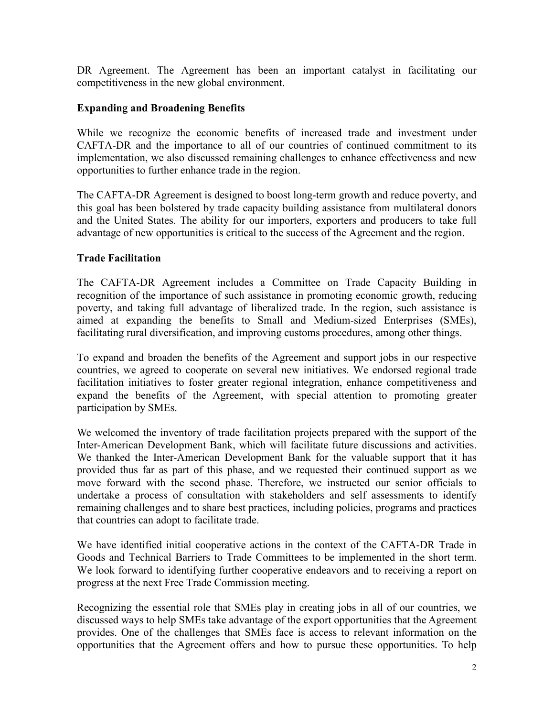DR Agreement. The Agreement has been an important catalyst in facilitating our competitiveness in the new global environment.

# Expanding and Broadening Benefits

While we recognize the economic benefits of increased trade and investment under CAFTA-DR and the importance to all of our countries of continued commitment to its implementation, we also discussed remaining challenges to enhance effectiveness and new opportunities to further enhance trade in the region.

The CAFTA-DR Agreement is designed to boost long-term growth and reduce poverty, and this goal has been bolstered by trade capacity building assistance from multilateral donors and the United States. The ability for our importers, exporters and producers to take full advantage of new opportunities is critical to the success of the Agreement and the region.

# Trade Facilitation

The CAFTA-DR Agreement includes a Committee on Trade Capacity Building in recognition of the importance of such assistance in promoting economic growth, reducing poverty, and taking full advantage of liberalized trade. In the region, such assistance is aimed at expanding the benefits to Small and Medium-sized Enterprises (SMEs), facilitating rural diversification, and improving customs procedures, among other things.

To expand and broaden the benefits of the Agreement and support jobs in our respective countries, we agreed to cooperate on several new initiatives. We endorsed regional trade facilitation initiatives to foster greater regional integration, enhance competitiveness and expand the benefits of the Agreement, with special attention to promoting greater participation by SMEs.

We welcomed the inventory of trade facilitation projects prepared with the support of the Inter-American Development Bank, which will facilitate future discussions and activities. We thanked the Inter-American Development Bank for the valuable support that it has provided thus far as part of this phase, and we requested their continued support as we move forward with the second phase. Therefore, we instructed our senior officials to undertake a process of consultation with stakeholders and self assessments to identify remaining challenges and to share best practices, including policies, programs and practices that countries can adopt to facilitate trade.

We have identified initial cooperative actions in the context of the CAFTA-DR Trade in Goods and Technical Barriers to Trade Committees to be implemented in the short term. We look forward to identifying further cooperative endeavors and to receiving a report on progress at the next Free Trade Commission meeting.

Recognizing the essential role that SMEs play in creating jobs in all of our countries, we discussed ways to help SMEs take advantage of the export opportunities that the Agreement provides. One of the challenges that SMEs face is access to relevant information on the opportunities that the Agreement offers and how to pursue these opportunities. To help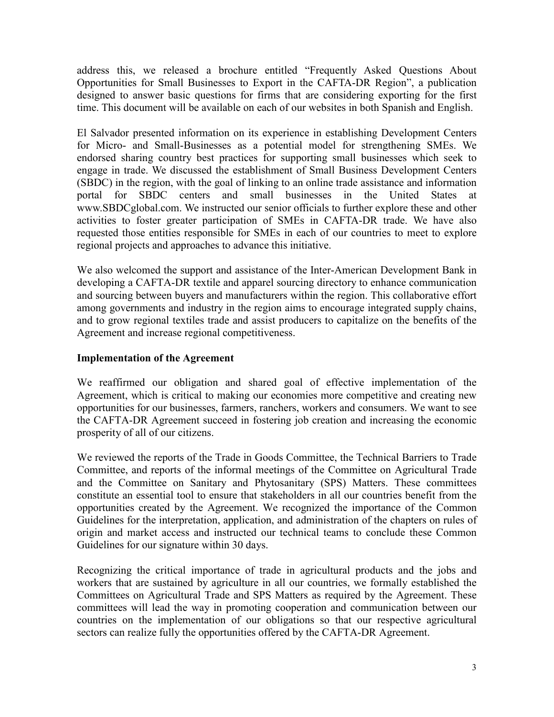address this, we released a brochure entitled "Frequently Asked Questions About Opportunities for Small Businesses to Export in the CAFTA-DR Region", a publication designed to answer basic questions for firms that are considering exporting for the first time. This document will be available on each of our websites in both Spanish and English.

El Salvador presented information on its experience in establishing Development Centers for Micro- and Small-Businesses as a potential model for strengthening SMEs. We endorsed sharing country best practices for supporting small businesses which seek to engage in trade. We discussed the establishment of Small Business Development Centers (SBDC) in the region, with the goal of linking to an online trade assistance and information portal for SBDC centers and small businesses in the United States at www.SBDCglobal.com. We instructed our senior officials to further explore these and other activities to foster greater participation of SMEs in CAFTA-DR trade. We have also requested those entities responsible for SMEs in each of our countries to meet to explore regional projects and approaches to advance this initiative.

We also welcomed the support and assistance of the Inter-American Development Bank in developing a CAFTA-DR textile and apparel sourcing directory to enhance communication and sourcing between buyers and manufacturers within the region. This collaborative effort among governments and industry in the region aims to encourage integrated supply chains, and to grow regional textiles trade and assist producers to capitalize on the benefits of the Agreement and increase regional competitiveness.

# Implementation of the Agreement

We reaffirmed our obligation and shared goal of effective implementation of the Agreement, which is critical to making our economies more competitive and creating new opportunities for our businesses, farmers, ranchers, workers and consumers. We want to see the CAFTA-DR Agreement succeed in fostering job creation and increasing the economic prosperity of all of our citizens.

We reviewed the reports of the Trade in Goods Committee, the Technical Barriers to Trade Committee, and reports of the informal meetings of the Committee on Agricultural Trade and the Committee on Sanitary and Phytosanitary (SPS) Matters. These committees constitute an essential tool to ensure that stakeholders in all our countries benefit from the opportunities created by the Agreement. We recognized the importance of the Common Guidelines for the interpretation, application, and administration of the chapters on rules of origin and market access and instructed our technical teams to conclude these Common Guidelines for our signature within 30 days.

Recognizing the critical importance of trade in agricultural products and the jobs and workers that are sustained by agriculture in all our countries, we formally established the Committees on Agricultural Trade and SPS Matters as required by the Agreement. These committees will lead the way in promoting cooperation and communication between our countries on the implementation of our obligations so that our respective agricultural sectors can realize fully the opportunities offered by the CAFTA-DR Agreement.